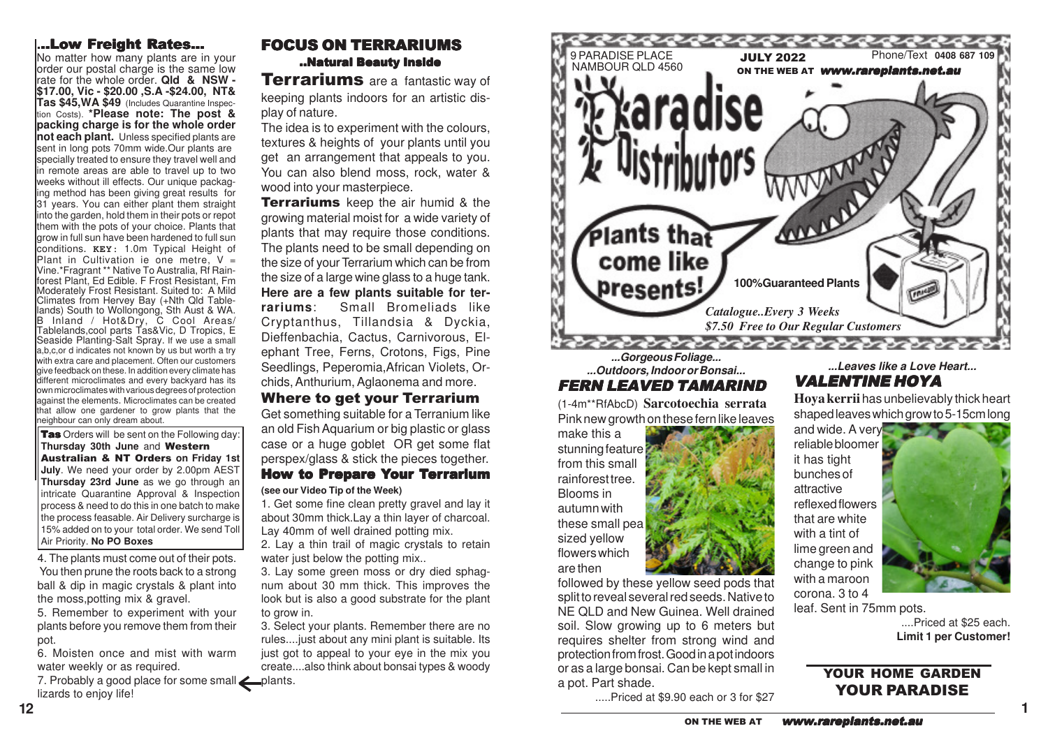### **.**..Low Freight Rates...

No matter how many plants are in your order our postal charge is the same low rate for the whole order. **Qld & NSW - \$17.00, Vic - \$20.00 ,S.A -\$24.00, NT& Tas \$45,WA \$49** (Includes Quarantine Inspection Costs). **\*Please note: The post & packing charge is for the whole order not each plant.** Unless specified plants are sent in long pots 70mm wide.Our plants are specially treated to ensure they travel well and in remote areas are able to travel up to two weeks without ill effects. Our unique packaging method has been giving great results for 31 years. You can either plant them straight into the garden, hold them in their pots or repot them with the pots of your choice. Plants that grow in full sun have been hardened to full sun conditions. **KEY:** 1.0m Typical Height of Plant in Cultivation ie one metre,  $V =$ Vine.\*Fragrant \*\* Native To Australia, Rf Rainforest Plant, Ed Edible. F Frost Resistant, Fm Moderately Frost Resistant. Suited to: A Mild Climates from Hervey Bay (+Nth Qld Tablelands) South to Wollongong, Sth Aust & WA. B Inland / Hot&Dry, C Cool Areas/ Tablelands,cool parts Tas&Vic, D Tropics, E Seaside Planting-Salt Spray. If we use a small a,b,c,or d indicates not known by us but worth a try with extra care and placement. Often our customers give feedback on these. In addition every climate has different microclimates and every backyard has its own microclimates with various degrees of protection against the elements. Microclimates can be created that allow one gardener to grow plants that the neighbour can only dream about.

Tas Orders will be sent on the Following day: **Thursday 30th June** and Western Australian & NT Orders **on Friday 1st July**. We need your order by 2.00pm AEST **Thursday 23rd June** as we go through an intricate Quarantine Approval & Inspection process & need to do this in one batch to make the process feasable. Air Delivery surcharge is 15% added on to your total order. We send Toll Air Priority. **No PO Boxes**

4. The plants must come out of their pots. You then prune the roots back to a strong ball & dip in magic crystals & plant into the moss,potting mix & gravel.

5. Remember to experiment with your plants before you remove them from their pot.

6. Moisten once and mist with warm water weekly or as required.

7. Probably a good place for some small **example 1** lizards to enjoy life!

Terrariums are a fantastic way of keeping plants indoors for an artistic display of nature.

The idea is to experiment with the colours, textures & heights of your plants until you get an arrangement that appeals to you. You can also blend moss, rock, water & wood into your masterpiece.

**Terrariums** keep the air humid & the growing material moist for a wide variety of plants that may require those conditions. The plants need to be small depending on the size of your Terrarium which can be from the size of a large wine glass to a huge tank. **Here are a few plants suitable for terrariums**: Small Bromeliads like Cryptanthus, Tillandsia & Dyckia, Dieffenbachia, Cactus, Carnivorous, Elephant Tree, Ferns, Crotons, Figs, Pine Seedlings, Peperomia,African Violets, Orchids, Anthurium, Aglaonema and more. Where to get your Terrarium Get something suitable for a Terranium like

an old Fish Aquarium or big plastic or glass case or a huge goblet OR get some flat perspex/glass & stick the pieces together. How to Pr epare Your Terrarium

**(see our Video Tip of the Week)**

1. Get some fine clean pretty gravel and lay it about 30mm thick.Lay a thin layer of charcoal. Lay 40mm of well drained potting mix.

2. Lay a thin trail of magic crystals to retain water just below the potting mix...

3. Lay some green moss or dry died sphagnum about 30 mm thick. This improves the look but is also a good substrate for the plant to grow in.

3. Select your plants. Remember there are no rules....just about any mini plant is suitable. Its just got to appeal to your eye in the mix you create....also think about bonsai types & woody



**...Outdoors, Indoor or Bonsai...** FERN LEAVED TAMARIND

(1-4m\*\*RfAbcD) **Sarcotoechia serrata** Pink new growth on these fern like leaves

make this a stunning feature from this small rainforest tree. Blooms in autumn with these small pea sized yellow flowers which are then

followed by these yellow seed pods that split to reveal several red seeds. Native to NE QLD and New Guinea. Well drained soil. Slow growing up to 6 meters but requires shelter from strong wind and protection from frost. Good in a pot indoors or as a large bonsai. Can be kept small in a pot. Part shade.

.....Priced at \$9.90 each or 3 for \$27

### **...Leaves like a Love Heart...** VALENTINE HOYA

**Hoya kerrii** has unbelievably thick heart shaped leaves which grow to 5-15cm long

and wide. A very reliable bloomer it has tight bunches of attractive reflexed flowers that are white with a tint of lime green and change to pink with a maroon corona. 3 to 4



leaf. Sent in 75mm pots.

....Priced at \$25 each. **Limit 1 per Customer!**

**1**

# YOUR HOME GARDEN YOUR PARADISE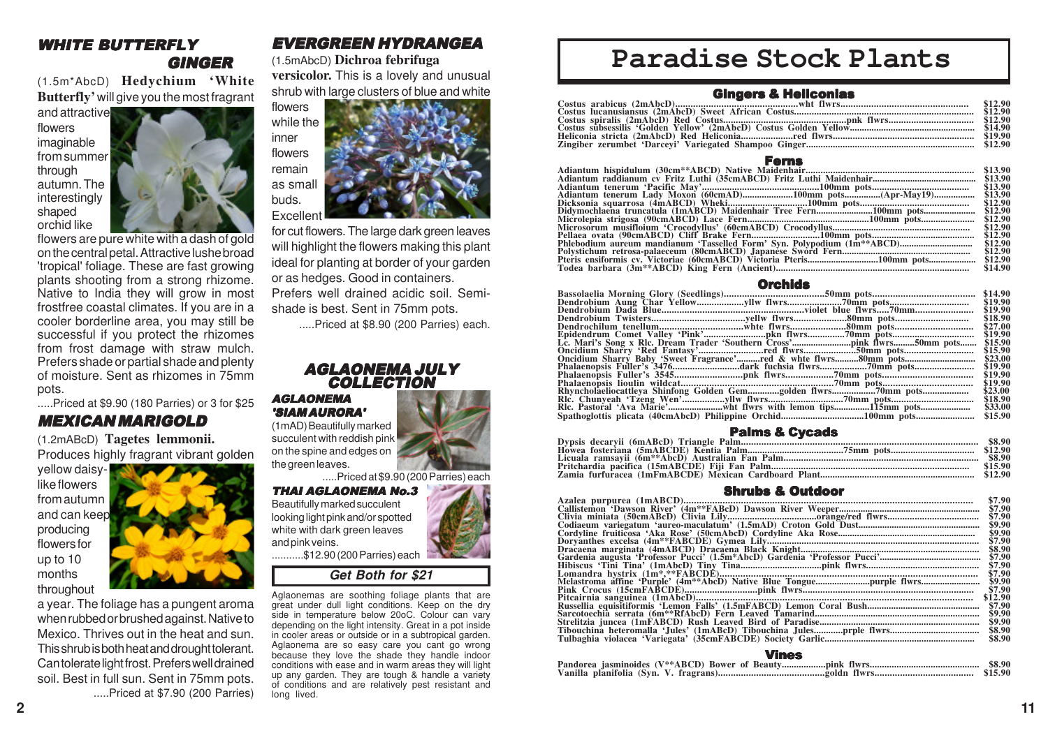### WHITE BUTTERFLY GINGER

(1.5m\*AbcD) **Hedychium 'White Butterfly'** will give you the most fragrant

and attractive flowers imaginable from summer through autumn. The interestingly shaped orchid like



flowers are pure white with a dash of gold on the central petal. Attractive lushe broad 'tropical' foliage. These are fast growing plants shooting from a strong rhizome. Native to India they will grow in most frostfree coastal climates. If you are in a cooler borderline area, you may still be successful if you protect the rhizomes from frost damage with straw mulch. Prefers shade or partial shade and plenty of moisture. Sent as rhizomes in 75mm pots.

#### .....Priced at \$9.90 (180 Parries) or 3 for \$25 MEXICAN MARIGOLD

(1.2mABcD) **Tagetes lemmonii.** Produces highly fragrant vibrant golden

yellow daisylike flowers from autumn and can keep producing flowers for up to 10 months throughout



a year. The foliage has a pungent aroma when rubbed or brushed against. Native to Mexico. Thrives out in the heat and sun. This shrub is both heat and drought tolerant. Can tolerate light frost. Prefers well drained soil. Best in full sun. Sent in 75mm pots. .....Priced at \$7.90 (200 Parries)

# EVERGREEN HYDRANGEA

#### (1.5mAbcD) **Dichroa febrifuga**

**versicolor.** This is a lovely and unusual shrub with large clusters of blue and white



for cut flowers. The large dark green leaves will highlight the flowers making this plant ideal for planting at border of your garden or as hedges. Good in containers. Prefers well drained acidic soil. Semishade is best. Sent in 75mm pots.

.....Priced at \$8.90 (200 Parries) each.

#### AGLAONEMA JULY **COLLECTION**

AGLAONEMA 'SIAM AURORA'



.....Priced at \$9.90 (200 Parries) each

#### THAI AGLAONEMA No.3 Beautifully marked succulent looking light pink and/or spotted white with dark green leaves and pink veins. ...........\$12.90 (200 Parries) each

# **Get Both for \$21**

Aglaonemas are soothing foliage plants that are great under dull light conditions. Keep on the dry side in temperature below 20oC. Colour can vary depending on the light intensity. Great in a pot inside in cooler areas or outside or in a subtropical garden. Aglaonema are so easy care you cant go wrong because they love the shade they handle indoor conditions with ease and in warm areas they will light up any garden. They are tough & handle a variety of conditions and are relatively pest resistant and long lived.

# **Paradise Stock Plants**

| <b>Gingers &amp; Heliconias</b> |  |
|---------------------------------|--|
|                                 |  |
|                                 |  |
|                                 |  |
|                                 |  |
|                                 |  |
|                                 |  |

#### Ferns

|                                                                         | \$13.90 |
|-------------------------------------------------------------------------|---------|
|                                                                         | \$13.90 |
| Adiantum tenerum 'Pacific May'………………………………………100mm pots……………………………………   | \$13.90 |
| Adiantum tenerum Lady Moxon (60cmAD)100mm pots(Apr-May19)               | \$13.90 |
|                                                                         | \$12.90 |
| Didymochlaena truncatula (1mABCD) Maidenhair Tree Fern100mm pots\$12.90 |         |
|                                                                         |         |
|                                                                         | \$12.90 |
|                                                                         | \$12.90 |
| Phlebodium aureum mandianum 'Tasselled Form' Syn. Polypodium (1m**ABCD) | \$12.90 |
|                                                                         | \$12.90 |
|                                                                         |         |
|                                                                         | \$14.90 |
|                                                                         |         |

#### **Orchide**

|                                                                 | \$14.90 |
|-----------------------------------------------------------------|---------|
| Dendrobium Aung Char Yellowyllw flwrs70mm pots                  | \$19.90 |
|                                                                 | \$19.90 |
|                                                                 | \$18.90 |
| Dendrochilum tenellumwhte flwrs80mm pots                        | \$27.00 |
|                                                                 | \$19.90 |
|                                                                 | \$15.90 |
|                                                                 | \$15.90 |
| Oncidium Sharry Baby 'Sweet Fragrance'red & whte flwrs80mm pots | \$23.00 |
| Phalaenopsis Fuller's 3476dark fuchsia flwrs70mm_pots           | \$19.90 |
|                                                                 | \$19.90 |
|                                                                 | \$19.90 |
| Rhyncholaeliocattleya Shinfong Golden Gemgolden flwrs70mm pots  | \$23.00 |
|                                                                 | \$18.90 |
| Rlc. Pastoral 'Ava Marie'wht flwrs with lemon tips115mm pots    | \$33.00 |
|                                                                 | \$15.90 |
|                                                                 |         |

| <b>Palms &amp; Cycads</b> |  |
|---------------------------|--|
|                           |  |
|                           |  |
|                           |  |
|                           |  |
|                           |  |

#### Shrubs & Outdoor

| \$7.90  |
|---------|
| \$7.90  |
| \$7.90  |
| \$9.90  |
| \$9.90  |
| \$7.90  |
| \$8.90  |
| \$7.90  |
| \$7.90  |
| \$7.90  |
| \$9.90  |
| \$7.90  |
| \$12.90 |
| \$7.90  |
| \$9.90  |
| \$9.90  |
| \$8.90  |
| \$8.90  |
|         |

#### Vines

| ------- |  |  |  |  |  |        |
|---------|--|--|--|--|--|--------|
|         |  |  |  |  |  | \$8.90 |
|         |  |  |  |  |  |        |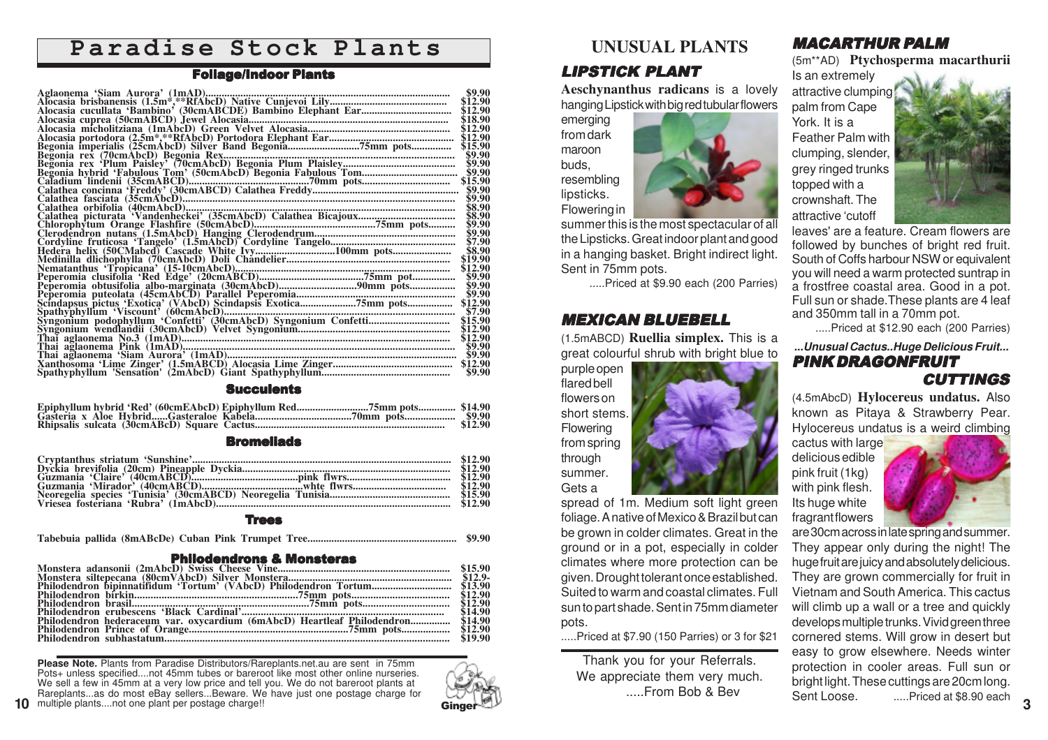# **Paradise Stock Plants**

#### Foliage/Indoor Plants

| \$9.90             |
|--------------------|
|                    |
| \$12.90<br>\$12.90 |
| \$18.90            |
| \$12.90            |
| \$12.90            |
| \$15.90            |
|                    |
|                    |
|                    |
|                    |
|                    |
|                    |
|                    |
|                    |
| \$8.90             |
| \$9.90             |
| \$9.90             |
| \$7.90             |
| \$8.90             |
| \$19.90            |
| \$12.90            |
| \$9.90             |
| \$9.90             |
|                    |
|                    |
|                    |
|                    |
|                    |
|                    |
|                    |
|                    |
|                    |
|                    |

#### **Succulents**

#### **Bromeliads**

#### Trees

**Tabebuia pallida (8mABcDe) Cuban Pink Trumpet Tree........................................................ \$9.90**

#### Philodendrons & Monsteras

|                                                                                 | \$14.90 |
|---------------------------------------------------------------------------------|---------|
| Philodendron hederaceum var. oxycardium (6mAbcD) Heartleaf Philodendron \$14.90 |         |
|                                                                                 |         |
|                                                                                 |         |
|                                                                                 |         |

**Please Note.** Plants from Paradise Distributors/Rareplants.net.au are sent in 75mm Pots+ unless specified....not 45mm tubes or bareroot like most other online nurseries. We sell a few in 45mm at a very low price and tell you. We do not bareroot plants at Rareplants...as do most eBay sellers...Beware. We have just one postage charge for multiple plants....not one plant per postage charge!!



# **UNUSUAL PLANTS**

# LIPSTICK PLANT

**Aeschynanthus radicans** is a lovely hanging Lipstick with big red tubular flowers

emerging from dark maroon buds, resembling lipsticks. Flowering in

summer this is the most spectacular of all the Lipsticks. Great indoor plant and good in a hanging basket. Bright indirect light. Sent in 75mm pots.

.....Priced at \$9.90 each (200 Parries)

# **MEXICAN BLUEBELL** and 350mm tall in a 70mm pot.<br>.....Priced at \$12.90 each (200 Parries)<br>(1.5mABCD) **Ruellia simplex.** This is a

great colourful shrub with bright blue to

purple open flared bell flowers on short stems. Flowering from spring through summer. Gets a

spread of 1m. Medium soft light green foliage. A native of Mexico & Brazil but can be grown in colder climates. Great in the ground or in a pot, especially in colder climates where more protection can be given. Drought tolerant once established. Suited to warm and coastal climates. Full sun to part shade. Sent in 75mm diameter pots.

.....Priced at \$7.90 (150 Parries) or 3 for \$21

Thank you for your Referrals. We appreciate them very much. .....From Bob & Bev

# MACARTHUR PALM

(5m\*\*AD) **Ptychosperma macarthurii**

Is an extremely attractive clumping palm from Cape York. It is a Feather Palm with clumping, slender grey ringed trunks topped with a crownshaft. The attractive 'cutoff



leaves' are a feature. Cream flowers are followed by bunches of bright red fruit. South of Coffs harbour NSW or equivalent you will need a warm protected suntrap in a frostfree coastal area. Good in a pot. Full sun or shade. These plants are 4 leaf and 350mm tall in a 70mm pot.

**...Unusual Cactus..Huge Delicious Fruit...** PINK DRAGONFRUIT

#### CUTTINGS

(4.5mAbcD) **Hylocereus undatus.** Also known as Pitaya & Strawberry Pear. Hylocereus undatus is a weird climbing

cactus with large delicious edible pink fruit (1kg) with pink flesh. Its huge white fragrant flowers



are 30cm across in late spring and summer. They appear only during the night! The huge fruit are juicy and absolutely delicious. They are grown commercially for fruit in Vietnam and South America. This cactus will climb up a wall or a tree and quickly develops multiple trunks. Vivid green three cornered stems. Will grow in desert but easy to grow elsewhere. Needs winter protection in cooler areas. Full sun or bright light. These cuttings are 20cm long. Sent Loose. .....Priced at \$8.90 each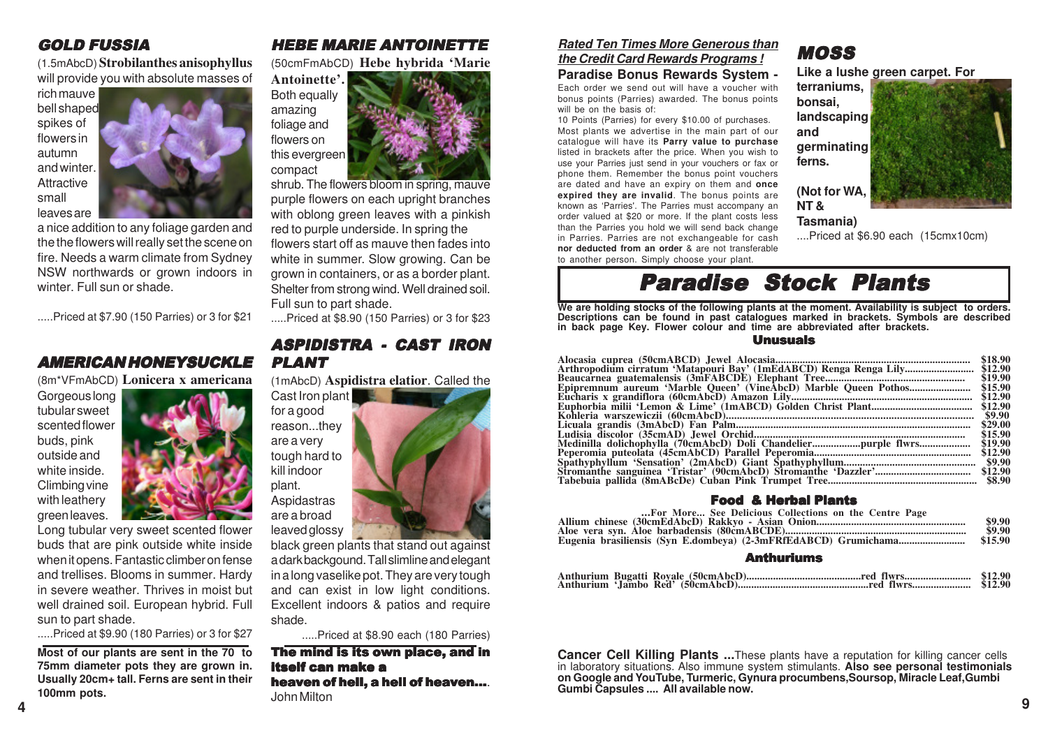# GOLD FUSSIA

(1.5mAbcD) **Strobilanthes anisophyllus** will provide you with absolute masses of

rich mauve bell shaped spikes of flowers in autumn and winter. **Attractive** small leaves are



a nice addition to any foliage garden and the the flowers will really set the scene on fire. Needs a warm climate from Sydney NSW northwards or grown indoors in winter. Full sun or shade.

.....Priced at \$7.90 (150 Parries) or 3 for \$21

# AMERICAN HONEYSUCKLE

(8m\*VFmAbCD) **Lonicera x americana**

Gorgeous long tubular sweet scented flower buds, pink outside and white inside. Climbing vine with leathery green leaves.



Long tubular very sweet scented flower buds that are pink outside white inside when it opens. Fantastic climber on fense and trellises. Blooms in summer. Hardy in severe weather. Thrives in moist but well drained soil. European hybrid. Full sun to part shade.

.....Priced at \$9.90 (180 Parries) or 3 for \$27

**Most of our plants are sent in the 70 to 75mm diameter pots they are grown in. Usually 20cm+ tall. Ferns are sent in their 100mm pots.**

# HEBE MARIE ANTOINETTE

(50cmFmAbCD) **Hebe hybrida 'Marie**



shrub. The flowers bloom in spring, mauve purple flowers on each upright branches with oblong green leaves with a pinkish red to purple underside. In spring the flowers start off as mauve then fades into white in summer. Slow growing. Can be grown in containers, or as a border plant. Shelter from strong wind. Well drained soil. Full sun to part shade.

.....Priced at \$8.90 (150 Parries) or 3 for \$23

# ASPIDISTRA - CAST IRON PLANT

(1mAbcD) **Aspidistra elatior**. Called the



black green plants that stand out against a dark backgound. Tall slimline and elegant in a long vaselike pot. They are very tough and can exist in low light conditions. Excellent indoors & patios and require shade.

.....Priced at \$8.90 each (180 Parries)

The mind is its own place, and in itself can make a heaven of hell, a hell of heaven.... John Milton

#### **Rated Ten Times More Generous than the Credit Card Rewards Programs !**

#### **Paradise Bonus Rewards System -**

Each order we send out will have a voucher with bonus points (Parries) awarded. The bonus points will be on the basis of:

10 Points (Parries) for every \$10.00 of purchases. Most plants we advertise in the main part of our catalogue will have its **Parry value to purchase** listed in brackets after the price. When you wish to use your Parries just send in your vouchers or fax or phone them. Remember the bonus point vouchers are dated and have an expiry on them and **once expired they are invalid**. The bonus points are known as 'Parries'. The Parries must accompany an order valued at \$20 or more. If the plant costs less than the Parries you hold we will send back change in Parries. Parries are not exchangeable for cash **nor deducted from an order** & are not transferable



MOSS

....Priced at \$6.90 each (15cmx10cm)

to another person. Simply choose your plant.

# Paradise Stock Plants

**We are holding stocks of the following plants at the moment. Availability is subject to orders. Descriptions can be found in past catalogues marked in brackets. Symbols are described in back page Key. Flower colour and time are abbreviated after brackets.**

#### Unusuals

|                                                                   | \$18.90 |
|-------------------------------------------------------------------|---------|
| Arthropodium cirratum 'Matapouri Bay' (1mEdABCD) Renga Renga Lily | \$12.90 |
|                                                                   | \$19.90 |
|                                                                   | \$15.90 |
|                                                                   | \$12.90 |
|                                                                   | \$12.90 |
|                                                                   | \$9.90  |
|                                                                   | \$29.00 |
|                                                                   | \$15.90 |
|                                                                   | \$19.90 |
|                                                                   | \$12.90 |
|                                                                   |         |
|                                                                   | \$12.90 |
|                                                                   |         |
|                                                                   |         |

#### Food & Herbal Plants

| For More See Delicious Collections on the Centre Page |         |
|-------------------------------------------------------|---------|
|                                                       | \$9.90  |
|                                                       | \$9.90  |
|                                                       | \$15.90 |
|                                                       |         |

#### Anthuriums

**Cancer Cell Killing Plants ...**These plants have a reputation for killing cancer cells in laboratory situations. Also immune system stimulants. **Also see personal testimonials on Google and YouTube, Turmeric, Gynura procumbens,Soursop, Miracle Leaf,Gumbi Gumbi Capsules .... All available now.**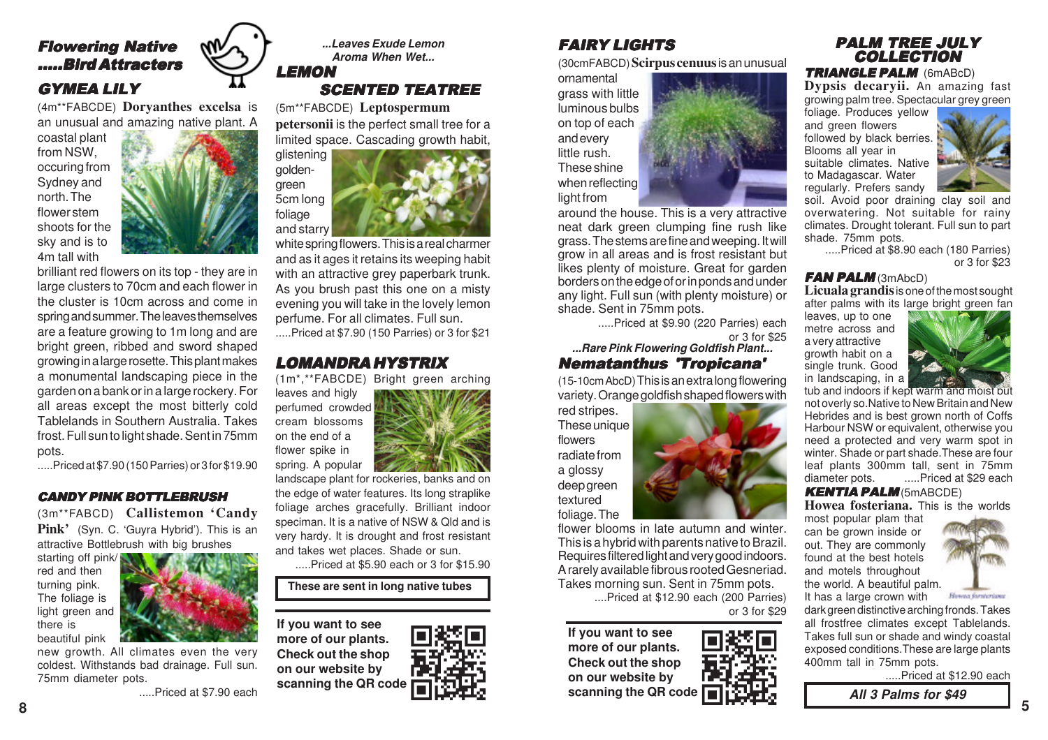# Flowering Native .....Bird Attracters GYMEA LILY

(4m\*\*FABCDE) **Doryanthes excelsa** is an unusual and amazing native plant. A

coastal plant from NSW, occuring from Sydney and north. The flower stem shoots for the sky and is to 4m tall with



brilliant red flowers on its top - they are in large clusters to 70cm and each flower in the cluster is 10cm across and come in spring and summer. The leaves themselves are a feature growing to 1m long and are bright green, ribbed and sword shaped growing in a large rosette. This plant makes a monumental landscaping piece in the garden on a bank or in a large rockery. For all areas except the most bitterly cold Tablelands in Southern Australia. Takes frost. Full sun to light shade. Sent in 75mm pots.

.....Priced at \$7.90 (150 Parries) or 3 for \$19.90

#### CANDY PINK BOTTLEBRUSH

(3m\*\*FABCD) **Callistemon 'Candy Pink'** (Syn. C. 'Guyra Hybrid'). This is an attractive Bottlebrush with big brushes

starting off pink/ red and then turning pink. The foliage is light green and there is beautiful pink



new growth. All climates even the very coldest. Withstands bad drainage. Full sun. 75mm diameter pots.

.....Priced at \$7.90 each



(5m\*\*FABCDE) **Leptospermum**

**petersonii** is the perfect small tree for a limited space. Cascading growth habit,



white spring flowers. This is a real charmer and as it ages it retains its weeping habit with an attractive grey paperbark trunk. As you brush past this one on a misty evening you will take in the lovely lemon perfume. For all climates. Full sun.

.....Priced at \$7.90 (150 Parries) or 3 for \$21

### LOMANDRA HYSTRIX

(1m\*,\*\*FABCDE) Bright green arching

leaves and higly perfumed crowded cream blossoms on the end of a flower spike in spring. A popular



.....Priced at \$5.90 each or 3 for \$15.90

**These are sent in long native tubes**

**If you want to see more of our plants. Check out the shop on our website by scanning the QR code**



# FAIRY LIGHTS

(30cmFABCD) **Scirpus cenuus**is an unusual

ornamental grass with little luminous bulbs on top of each and every little rush. These shine when reflecting light from

around the house. This is a very attractive neat dark green clumping fine rush like grass. The stems are fine and weeping. It will grow in all areas and is frost resistant but likes plenty of moisture. Great for garden borders on the edge of or in ponds and under any light. Full sun (with plenty moisture) or shade. Sent in 75mm pots.

> .....Priced at \$9.90 (220 Parries) each or 3 for \$25

**...Rare Pink Flowering Goldfish Plant...** Nematanthus 'Tropicana'

(15-10cm AbcD) This is an extra long flowering variety. Orange goldfish shaped flowers with

red stripes. These unique flowers radiate from a glossy deep green textured foliage. The

flower blooms in late autumn and winter. This is a hybrid with parents native to Brazil. Requires filtered light and very good indoors. A rarely available fibrous rooted Gesneriad. Takes morning sun. Sent in 75mm pots.

> ....Priced at \$12.90 each (200 Parries) or 3 for \$29

**If you want to see more of our plants. Check out the shop on our website by scanning the QR code**

# PALM TREE JULY **COLLECTION**

TRIANGLE PALM (6mABcD)

**Dypsis decaryii.** An amazing fast growing palm tree. Spectacular grey green

foliage. Produces yellow and green flowers followed by black berries. Blooms all year in suitable climates. Native to Madagascar. Water regularly. Prefers sandy



soil. Avoid poor draining clay soil and overwatering. Not suitable for rainy climates. Drought tolerant. Full sun to part shade. 75mm pots.

 .....Priced at \$8.90 each (180 Parries) or 3 for \$23

#### **FAN PALM (3mAbcD)**

**Licuala grandis** is one of the most sought after palms with its large bright green fan

leaves, up to one metre across and a very attractive growth habit on a single trunk. Good in landscaping, in a



tub and indoors if kept warm and moist but not overly so.Native to New Britain and New Hebrides and is best grown north of Coffs Harbour NSW or equivalent, otherwise you need a protected and very warm spot in winter. Shade or part shade.These are four leaf plants 300mm tall, sent in 75mm diameter pots. .....Priced at \$29 each

KENTIA PALM (5mABCDE)

**Howea fosteriana.** This is the worlds most popular plam that

can be grown inside or out. They are commonly found at the best hotels and motels throughout the world. A beautiful palm. It has a large crown with



dark green distinctive arching fronds. Takes all frostfree climates except Tablelands. Takes full sun or shade and windy coastal exposed conditions.These are large plants 400mm tall in 75mm pots.

.....Priced at \$12.90 each

**All 3 Palms for \$49**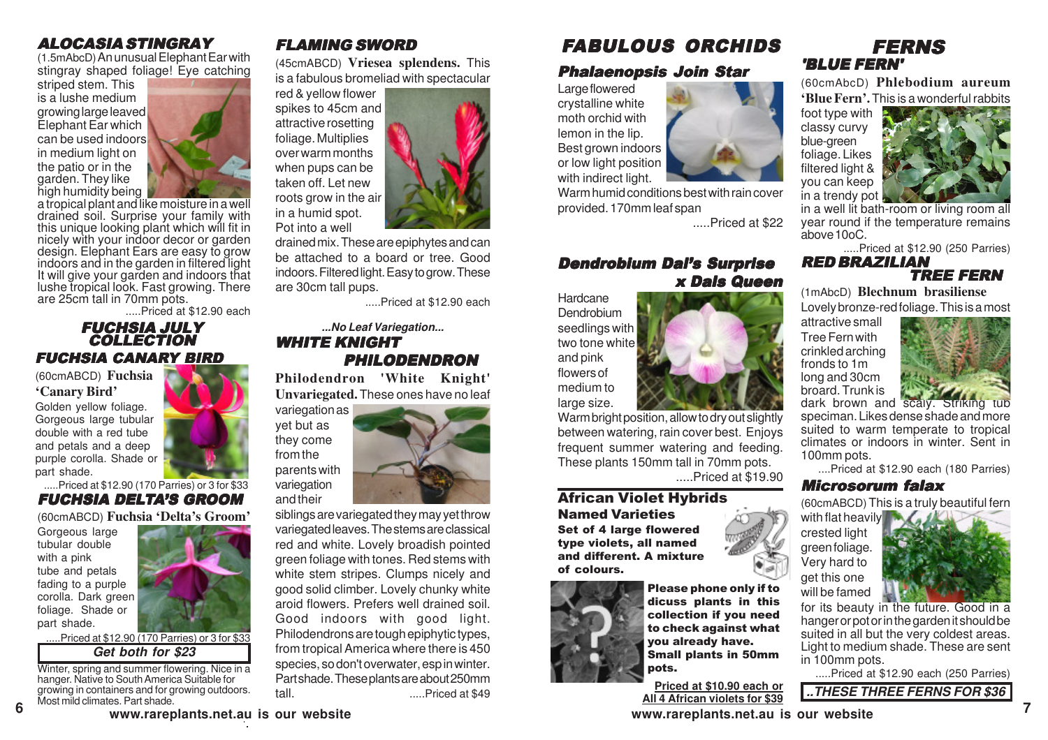# ALOCASIA STINGRAY

(1.5mAbcD) An unusual Elephant Ear with stingray shaped foliage! Eye catching

striped stem. This is a lushe medium growing large leaved Elephant Ear which can be used indoors in medium light on the patio or in the garden. They like high humidity being



a tropical plant and like moisture in a well drained soil. Surprise your family with this unique looking plant which will fit in nicely with your indoor decor or garden design. Elephant Ears are easy to grow indoors and in the garden in filtered light It will give your garden and indoors that lushe tropical look. Fast growing. There are 25cm tall in 70mm pots.

.....Priced at \$12.90 each

#### FUCHSIA CANARY BIRD FUCHSIA JULY **COLLECTION**

(60cmABCD) **Fuchsia 'Canary Bird'**

Golden yellow foliage. Gorgeous large tubular double with a red tube and petals and a deep purple corolla. Shade or part shade.

.....Priced at \$12.90 (170 Parries) or 3 for \$33 FUCHSIA DELTA'S GROOM

(60cmABCD) **Fuchsia 'Delta's Groom'**

Gorgeous large tubular double with a pink tube and petals fading to a purple corolla. Dark green foliage. Shade or part shade.

**6**



**Get both for \$23** .Priced at \$12.90 (170 Parries) or 3 for \$33

Winter, spring and summer flowering. Nice in a hanger. Native to South America Suitable for growing in containers and for growing outdoors. Most mild climates. Part shade.

# FLAMING SWORD

(45cmABCD) **Vriesea splendens.** This is a fabulous bromeliad with spectacular

red & yellow flower spikes to 45cm and attractive rosetting foliage. Multiplies over warm months when pups can be taken off. Let new roots grow in the air in a humid spot. Pot into a well



drained mix. These are epiphytes and can be attached to a board or tree. Good indoors. Filtered light. Easy to grow. These are 30cm tall pups.

.....Priced at \$12.90 each

#### **...No Leaf Variegation...** WHITE KNIGHT PHILODENDRON

**Philodendron 'White Knight' Unvariegated.** These ones have no leaf



siblings are variegated they may yet throw variegated leaves. The stems are classical red and white. Lovely broadish pointed green foliage with tones. Red stems with white stem stripes. Clumps nicely and good solid climber. Lovely chunky white aroid flowers. Prefers well drained soil. Good indoors with good light. Philodendrons are tough epiphytic types, from tropical America where there is 450 species, so don't overwater, esp in winter. Part shade. These plants are about 250mm tall. .....Priced at \$49

# FABULOUS ORCHIDS

# Phalaenopsis Join Star

Large flowered crystalline white moth orchid with lemon in the lip. Best grown indoors or low light position with indirect light.

Warm humid conditions best with rain cover provided. 170mm leaf span

.....Priced at \$22

# Dendrobium Dal's Surprise x Dals Queen

Hardcane **Dendrobium** seedlings with two tone white and pink flowers of medium to large size.

Warm bright position, allow to dry out slightly between watering, rain cover best. Enjoys frequent summer watering and feeding. These plants 150mm tall in 70mm pots.

.....Priced at \$19.90

#### African Violet Hybrids Named Varieties Set of 4 large flowered

type violets, all named and different. A mixture of colours.



Please phone only if to dicuss plants in this collection if you need to check against what you already have. Small plants in 50mm pots.

**Priced at \$10.90 each or All 4 African violets for \$39**

# FERNS 'BLUE FERN'

(60cmAbcD) **Phlebodium aureum 'Blue Fern'.**This is a wonderful rabbits

foot type with classy curvy blue-green foliage. Likes filtered light & you can keep in a trendy pot



in a well lit bath-room or living room all year round if the temperature remains above 10oC.

.....Priced at \$12.90 (250 Parries)

#### RED BRAZILIAN TREE FERN

(1mAbcD) **Blechnum brasiliense** Lovely bronze-red foliage. This is a most

attractive small Tree Fern with crinkled arching fronds to 1m long and 30cm broard. Trunk is



speciman. Likes dense shade and more suited to warm temperate to tropical climates or indoors in winter. Sent in 100mm pots.

....Priced at \$12.90 each (180 Parries)

#### Microsorum falax

(60cmABCD) This is a truly beautiful fern

with flat heavily crested light green foliage. Very hard to get this one will be famed



for its beauty in the future. Good in a hanger or pot or in the garden it should be suited in all but the very coldest areas. Light to medium shade. These are sent in 100mm pots.

.....Priced at \$12.90 each (250 Parries)

**..THESE THREE FERNS FOR \$36**

**www.rareplants.net.au is our website www.rareplants.net.au is our website**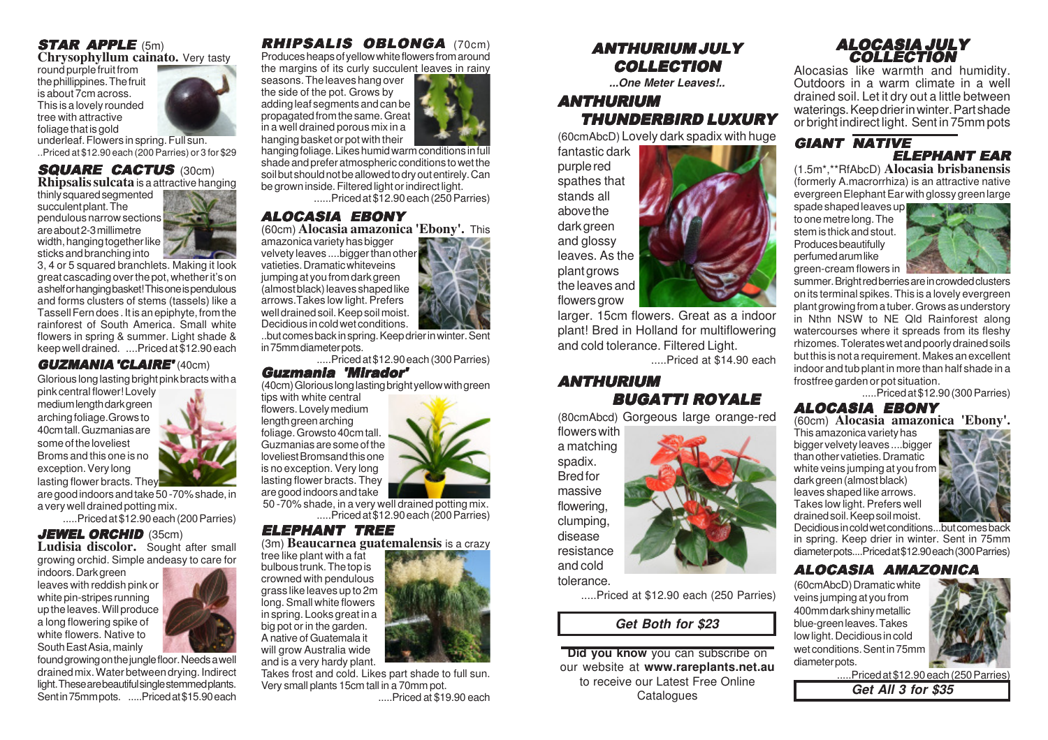# STAR APPLE (5m) **Chrysophyllum cainato.** Very tasty

round purple fruit from the phillippines. The fruit is about 7cm across. This is a lovely rounded tree with attractive foliage that is gold

underleaf. Flowers in spring. Full sun. ..Priced at \$12.90 each (200 Parries) or 3 for \$29

# **SQUARE CACTUS** (30cm)<br>**Rhipsalis sulcata** is a attractive hanging

thinly squared segmented succulent plant. The pendulous narrow sections are about 2-3 millimetre width, hanging together like sticks and branching into

3, 4 or 5 squared branchlets. Making it look great cascading over the pot, whether it's on a shelf or hanging basket! This one is pendulous and forms clusters of stems (tassels) like a Tassell Fern does . It is an epiphyte, from the rainforest of South America. Small white flowers in spring & summer. Light shade & keep well drained. ....Priced at \$12.90 each

#### GUZMANIA 'CLAIRE' (40cm)

Glorious long lasting bright pink bracts with a

pink central flower! Lovely medium length dark green arching foliage.Grows to 40cm tall. Guzmanias are some of the loveliest Broms and this one is no exception. Very long lasting flower bracts. They

are good indoors and take 50 -70% shade, in a very well drained potting mix.

.....Priced at \$12.90 each (200 Parries)

### **JEWEL ORCHID (35cm)**

**Ludisia discolor.** Sought after small growing orchid. Simple andeasy to care for

indoors. Dark green leaves with reddish pink or white pin-stripes running up the leaves. Will produce a long flowering spike of white flowers. Native to South East Asia, mainly

found growing on the jungle floor. Needs a well drained mix. Water between drying. Indirect light. These are beautiful single stemmed plants. Sent in 75mm pots. .....Priced at \$15.90 each

# RHIPSALIS OBLONGA (70cm)

Produces heaps of yellow white flowers from around the margins of its curly succulent leaves in rainy

seasons. The leaves hang over the side of the pot. Grows by adding leaf segments and can be propagated from the same. Great in a well drained porous mix in a hanging basket or pot with their

hanging foliage. Likes humid warm conditions in full shade and prefer atmospheric conditions to wet the soil but should not be allowed to dry out entirely. Can be grown inside. Filtered light or indirect light.

......Priced at \$12.90 each (250 Parries)

### ALOCASIA EBONY

(60cm) **Alocasia amazonica 'Ebony'.** This amazonica variety has bigger velvety leaves ....bigger than other

vatieties. Dramatic whiteveins jumping at you from dark green (almost black) leaves shaped like arrows.Takes low light. Prefers well drained soil. Keep soil moist. Decidious in cold wet conditions.



..but comes back in spring. Keep drier in winter. Sent in 75mm diameter pots.

.....Priced at \$12.90 each (300 Parries)

# Guzmania 'Mirador'

(40cm) Glorious long lasting bright yellow with green

tips with white central flowers. Lovely medium length green arching foliage. Growsto 40cm tall. Guzmanias are some of the loveliest Bromsand this one is no exception. Very long lasting flower bracts. They are good indoors and take

 50 -70% shade, in a very well drained potting mix. .....Priced at \$12.90 each (200 Parries)

### ELEPHANT TREE

(3m) **Beaucarnea guatemalensis** is a crazy

tree like plant with a fat bulbous trunk. The top is crowned with pendulous grass like leaves up to 2m long. Small white flowers in spring. Looks great in a big pot or in the garden. A native of Guatemala it will grow Australia wide and is a very hardy plant.

Takes frost and cold. Likes part shade to full sun. Very small plants 15cm tall in a 70mm pot. .....Priced at \$19.90 each

# ANTHURIUM JULY **COLLECTION**

**...One Meter Leaves!..**

# ANTHURIUM THUNDERBIRD LUXURY

(60cmAbcD) Lovely dark spadix with huge

fantastic dark purple red spathes that stands all above the dark green and glossy leaves. As the plant grows the leaves and flowers grow

larger. 15cm flowers. Great as a indoor plant! Bred in Holland for multiflowering and cold tolerance. Filtered Light.

.....Priced at \$14.90 each

# ANTHURIUM BUGATTI ROYALE

(80cmAbcd) Gorgeous large orange-red

flowers with a matching spadix. Bred for massive flowering, clumping, disease resistance and cold

tolerance.

.....Priced at \$12.90 each (250 Parries)

# **Get Both for \$23**

**Did you know** you can subscribe on our website at **www.rareplants.net.au** to receive our Latest Free Online Catalogues **Get All 3 for \$35** 

#### ALOCASIA JULY **COLLECTION**

Alocasias like warmth and humidity. Outdoors in a warm climate in a well drained soil. Let it dry out a little between waterings. Keep drier in winter. Part shade or bright indirect light. Sent in 75mm pots

#### GIANT NATIVE ELEPHANT EAR

(1.5m\*,\*\*RfAbcD) **Alocasia brisbanensis** (formerly A.macrorrhiza) is an attractive native evergreen Elephant Ear with glossy green large

spade shaped leaves up to one metre long. The stem is thick and stout. Produces beautifully perfumed arum like green-cream flowers in



summer. Bright red berries are in crowded clusters on its terminal spikes. This is a lovely evergreen plant growing from a tuber. Grows as understory in Nthn NSW to NE Qld Rainforest along watercourses where it spreads from its fleshy rhizomes. Tolerates wet and poorly drained soils but this is not a requirement. Makes an excellent indoor and tub plant in more than half shade in a frostfree garden or pot situation.

.....Priced at \$12.90 (300 Parries)

# ALOCASIA EBONY

(60cm) **Alocasia amazonica 'Ebony'.**

This amazonica variety has bigger velvety leaves ....bigger than other vatieties. Dramatic white veins jumping at you from dark green (almost black) leaves shaped like arrows. Takes low light. Prefers well drained soil. Keep soil moist.



Decidious in cold wet conditions...but comes back in spring. Keep drier in winter. Sent in 75mm diameter pots....Priced at \$12.90 each (300 Parries)

#### ALOCASIA AMAZONICA

(60cmAbcD) Dramatic white veins jumping at you from 400mm dark shiny metallic blue-green leaves. Takes low light. Decidious in cold wet conditions. Sent in 75mm diameter pots.



.....Priced at \$12.90 each (250 Parries)

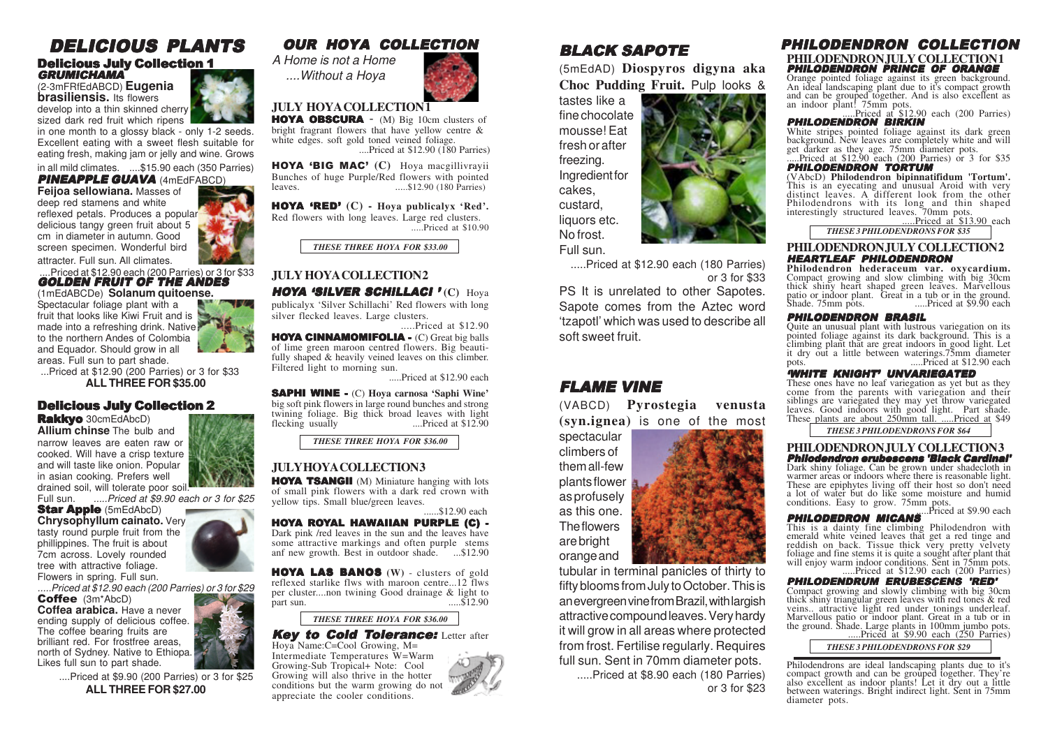#### DELICIOUS PLANTS Delicious July Collection 1 **GRUMICHAMA**

(2-3mFRfEdABCD) **Eugenia brasiliensis.** Its flowers develop into a thin skinned cherry sized dark red fruit which ripens

in one month to a glossy black - only 1-2 seeds. Excellent eating with a sweet flesh suitable for eating fresh, making jam or jelly and wine. Grows

in all mild climates. ....\$15.90 each (350 Parries) PINEAPPLE GUAVA (4mEdFABCD)

**Feijoa sellowiana.** Masses of deep red stamens and white reflexed petals. Produces a popular delicious tangy green fruit about 5 cm in diameter in autumn. Good screen specimen. Wonderful bird

attracter. Full sun. All climates.

....Priced at \$12.90 each (200 Parries) or 3 for \$33<br>**GOLDEN FRUIT OF THE ANDES** 

(1mEdABCDe) **Solanum quitoense.** Spectacular foliage plant with a fruit that looks like Kiwi Fruit and is made into a refreshing drink. Native to the northern Andes of Colombia and Equador. Should grow in all areas. Full sun to part shade.

 ...Priced at \$12.90 (200 Parries) or 3 for \$33 **ALL THREE FOR \$35.00**

#### Delicious July Collection 2

Rakkvo 30cmEdAbcD) **Allium chinse** The bulb and

narrow leaves are eaten raw or cooked. Will have a crisp texture and will taste like onion. Popular in asian cooking. Prefers well drained soil, will tolerate poor soil.

Full sun. .....Priced at \$9.90 each or 3 for \$25

**Star Apple (5mEdAbcD) Chrysophyllum cainato.** Very tasty round purple fruit from the phillippines. The fruit is about 7cm across. Lovely rounded tree with attractive foliage. Flowers in spring. Full sun.

.....Priced at \$12.90 each (200 Parries) or 3 for \$29

Coffee (3m\*AbcD) **Coffea arabica.** Have a never ending supply of delicious coffee. The coffee bearing fruits are brilliant red. For frostfree areas, north of Sydney. Native to Ethiopa. Likes full sun to part shade.

> ....Priced at \$9.90 (200 Parries) or 3 for \$25 **ALL THREE FOR \$27.00**

# OUR HOYA COLLECTION



**JULY HOYA COLLECTION 1**

HOYA OBSCURA - (M) Big 10cm clusters of bright fragrant flowers that have yellow centre & white edges, soft gold toned veined foliage. ....Priced at \$12.90 (180 Parries)

HO YA 'BIG MAC' **(C)** Hoya macgillivrayii Bunches of huge Purple/Red flowers with pointed leaves. .....\$12.90 (180 Parries)

HO YA 'RED' **(C) - Hoya publicalyx 'Red'.** Red flowers with long leaves. Large red clusters. .....Priced at \$10.90

*THESE THREE HOYA FOR \$33.00*

#### **JULY HOYA COLLECTION2**

HOYA 'SILVER SCHILLACI ' **(C)** Hoya publicalyx 'Silver Schillachi' Red flowers with long silver flecked leaves. Large clusters. .....Priced at \$12.90

HOYA CINNAMOMIFOLIA - (C) Great big balls of lime green maroon centred flowers. Big beautifully shaped & heavily veined leaves on this climber. Filtered light to morning sun.

.....Priced at \$12.90 each

SAPHI WINE - (C) **Hoya carnosa 'Saphi Wine'** big soft pink flowers in large round bunches and strong twining foliage. Big thick broad leaves with light<br>flecking usually .....Priced at \$12.90 ....Priced at \$12.90

*THESE THREE HOYA FOR \$36.00*

#### **JULY HOYA COLLECTION 3**

HOYA TSANGII (M) Miniature hanging with lots of small pink flowers with a dark red crown with yellow tips. Small blue/green leaves.

HOYA R OYAL HAWAIIAN PURPLE (C) - Dark pink /red leaves in the sun and the leaves have some attractive markings and often purple stems anf new growth. Best in outdoor shade.  $\sim$  ...\$12.90 ......\$12.90 each

HO YA LAS BANOS **(W)** - clusters of gold reflexed starlike flws with maroon centre...12 flws per cluster....non twining Good drainage & light to part sun. .....\$12.90

*THESE THREE HOYA FOR \$36.00*

#### Key to Cold Tolerance: Letter after Hoya Name:C=Cool Growing, M=

Intermediate Temperatures W=Warm Growing-Sub Tropical+ Note: Cool Growing will also thrive in the hotter conditions but the warm growing do not appreciate the cooler conditions.



(5mEdAD) **Diospyros digyna aka Choc Pudding Fruit.** Pulp looks &

tastes like a fine chocolate mousse! Eat fresh or after freezing. Ingredient for cakes, custard, liquors etc. No frost. Full sun.

.....Priced at \$12.90 each (180 Parries) or 3 for \$33

PS It is unrelated to other Sapotes. Sapote comes from the Aztec word 'tzapotl' which was used to describe all soft sweet fruit.

# FLAME VINE

(VABCD) **Pyrostegia venusta (syn.ignea)** is one of the most

spectacular climbers of them all-few plants flower as profusely as this one. The flowers are bright orange and

tubular in terminal panicles of thirty to fifty blooms from July to October. This is an evergreen vine from Brazil, with largish attractive compound leaves. Very hardy it will grow in all areas where protected from frost. Fertilise regularly. Requires full sun. Sent in 70mm diameter pots.

.....Priced at \$8.90 each (180 Parries) or 3 for \$23

### PHILODENDRON COLLECTION

# PHILODENDRON PRINCE OF ORANGE **PHILODENDRON JULY COLLECTION 1**

Orange pointed foliage against its green background.<br>An ideal landscaping plant due to it's compact growth<br>and can be grouped together. And is also excellent as<br>an indoor plant! 75mm pots.<br>**PHILODENDROM BIRKIN** 

White stripes pointed foliage against its dark green background. New leaves are completely white and will get darker as they age. 75mm diameter pots. .....Priced at \$12.90 each (200 Parries) or 3 for \$35

**PHILODENDRON TORTUM**<br>(VAbcD) Philodendron bipinnatifidum 'Tortum'. This is an eyecating and unusual Aroid with very distinct leaves. A different look from the other Philodendrons with its long and thin shaped interestingly structured leaves. 70mm pots. .....Priced at \$13.90 each

*THESE 3 PHILODENDRONS FOR \$35*

**PHILODENDRON, JULY COLLECTION2** 

#### HEARTLEAF PHILODENDRON

**Philodendron hederaceum var. oxycardium.**<br>Compact growing and slow climbing with big 30cm<br>thick shiny heart shaped green leaves. Marvellous patio or indoor plant. Great in a tub or in the ground.<br>Shade. 75mm pots. .....Priced at \$9.90 each

#### PHILODENDRON BRASIL

Quite an unusual plant with lustrous variegation on its pointed foliage against its dark background. This is a pointed foliage against its dark background. This is a climbing plant that are great indoors in good light. Let it dry out a little between waterings.75mm diameter m. Priced at \$12.90 each

#### 'WHITE KNIGHT' UNVARIEGATED

These ones have no leaf variegation as yet but as they come from the parents with variegation and their come from the parents with variegated they may yet throw variegated leaves. Good indoors with good light. Part shade. These plants are about 250mm tall. .....Priced at \$49

*THESE 3 PHILODENDRONS FOR \$64*

# **PHILODENDRON JULY COLLECTION3 Philodendron erubescens 'Black Cardinal'**<br>Dark shiny foliage. Can be grown under shadecloth in

Dark shiny foliage. Can be grown under shadecloth in warmer areas or indoors where there is reasonable light. These are epiphytes living off their host so don't need a lot of water but do like some moisture and humid conditions. Easy to grow. 75mm pots.<br>**PHILODEDRON MICANS** ...<sup>.Priced at \$9.90 each</sup>

This is a dainty fine climbing Philodendron with<br>emerald white veined leaves that get a red tinge and<br>reddish on back. Tissue thick very pretty velvety<br>foliage and fine stems it is quite a sought after plant that<br>will enjo

**PHILODENDRUM ERUBESCENS 'RED'** Compact growing and slowly climbing with big 30cm

thick shiny triangular green leaves with red tones & red<br>veins... attractive light red under tonings underleaf.<br>Marvellous patio or indoor plant. Great in a tub or in<br>the ground. Shade. Large plants in 100mm jumbo pots.<br>..

*THESE 3 PHILODENDRONS FOR \$29*

Philodendrons are ideal landscaping plants due to it's compact growth and can be grouped together. They're also excellent as indoor plants! Let it dry out a little<br>between waterings. Bright indirect light. Sent in 75mm<br>diameter pots.

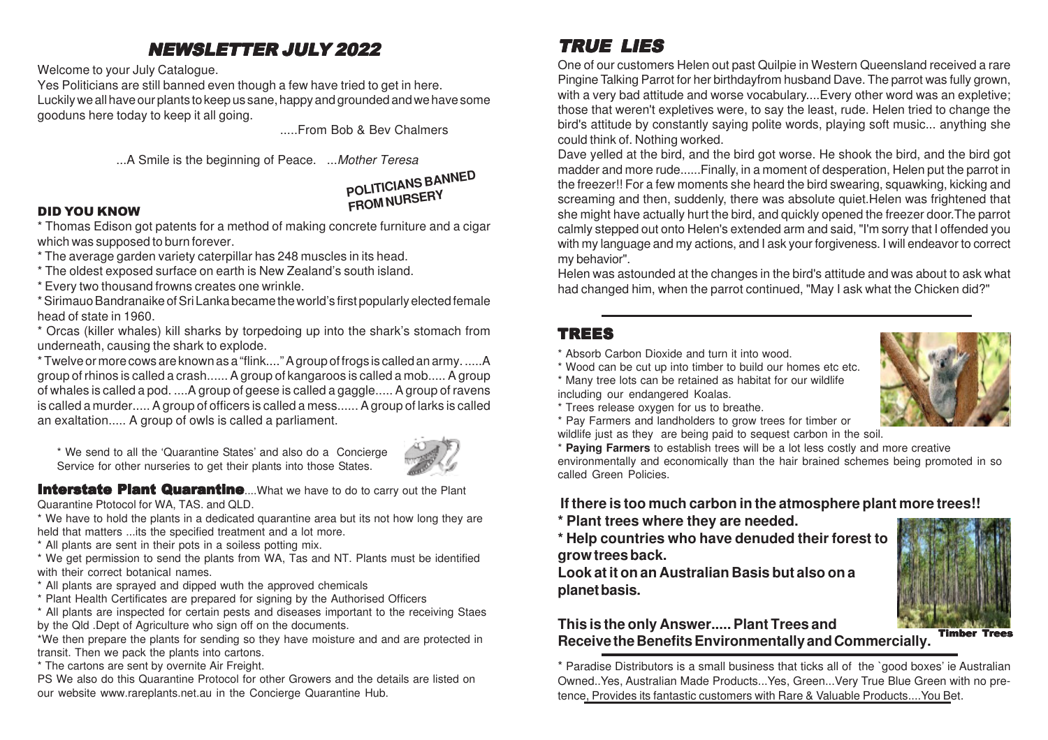# NEWSLETTER JULY 2022

Welcome to your July Catalogue.

Yes Politicians are still banned even though a few have tried to get in here. Luckily we all have our plants to keep us sane, happy and grounded and we have some gooduns here today to keep it all going.

.....From Bob & Bev Chalmers

...A Smile is the beginning of Peace. ... Mother Teresa

# **POLITICIANS BANNED FROM NURSERY**

### DID YOU KNO W

\* Thomas Edison got patents for a method of making concrete furniture and a cigar which was supposed to burn forever.

- \* The average garden variety caterpillar has 248 muscles in its head.
- \* The oldest exposed surface on earth is New Zealand's south island.
- \* Every two thousand frowns creates one wrinkle.

\* Sirimauo Bandranaike of Sri Lanka became the world's first popularly elected female head of state in 1960.

\* Orcas (killer whales) kill sharks by torpedoing up into the shark's stomach from underneath, causing the shark to explode.

\* Twelve or more cows are known as a "flink...." A group of frogs is called an army. .....A group of rhinos is called a crash...... A group of kangaroos is called a mob..... A group of whales is called a pod. ....A group of geese is called a gaggle..... A group of ravens is called a murder..... A group of officers is called a mess...... A group of larks is called an exaltation..... A group of owls is called a parliament.

\* We send to all the 'Quarantine States' and also do a Concierge Service for other nurseries to get their plants into those States.



**Interstate Plant Quarantine....**What we have to do to carry out the Plant Quarantine Ptotocol for WA, TAS. and QLD.

\* We have to hold the plants in a dedicated quarantine area but its not how long they are held that matters ...its the specified treatment and a lot more.

\* All plants are sent in their pots in a soiless potting mix.

\* We get permission to send the plants from WA, Tas and NT. Plants must be identified with their correct botanical names.

\* All plants are sprayed and dipped wuth the approved chemicals

\* Plant Health Certificates are prepared for signing by the Authorised Officers

\* All plants are inspected for certain pests and diseases important to the receiving Staes by the Qld .Dept of Agriculture who sign off on the documents.

\*We then prepare the plants for sending so they have moisture and and are protected in transit. Then we pack the plants into cartons.

\* The cartons are sent by overnite Air Freight.

PS We also do this Quarantine Protocol for other Growers and the details are listed on our website www.rareplants.net.au in the Concierge Quarantine Hub.

# TRUE LIES

One of our customers Helen out past Quilpie in Western Queensland received a rare Pingine Talking Parrot for her birthdayfrom husband Dave. The parrot was fully grown, with a very bad attitude and worse vocabulary....Every other word was an expletive; those that weren't expletives were, to say the least, rude. Helen tried to change the bird's attitude by constantly saying polite words, playing soft music... anything she could think of. Nothing worked.

Dave yelled at the bird, and the bird got worse. He shook the bird, and the bird got madder and more rude......Finally, in a moment of desperation, Helen put the parrot in the freezer!! For a few moments she heard the bird swearing, squawking, kicking and screaming and then, suddenly, there was absolute quiet.Helen was frightened that she might have actually hurt the bird, and quickly opened the freezer door.The parrot calmly stepped out onto Helen's extended arm and said, "I'm sorry that I offended you with my language and my actions, and I ask your forgiveness. I will endeavor to correct my behavior".

Helen was astounded at the changes in the bird's attitude and was about to ask what had changed him, when the parrot continued, "May I ask what the Chicken did?"

# TREES

- \* Absorb Carbon Dioxide and turn it into wood.
- \* Wood can be cut up into timber to build our homes etc etc.

\* Many tree lots can be retained as habitat for our wildlife including our endangered Koalas.

- \* Trees release oxygen for us to breathe.
- \* Pay Farmers and landholders to grow trees for timber or
- wildlife just as they are being paid to sequest carbon in the soil.

\* **Paying Farmers** to establish trees will be a lot less costly and more creative environmentally and economically than the hair brained schemes being promoted in so called Green Policies.

# **If there is too much carbon in the atmosphere plant more trees!!**

**\* Plant trees where they are needed.**

**\* Help countries who have denuded their forest to grow trees back.**

**Look at it on an Australian Basis but also on a planet basis.**



**This is the only Answer..... Plant Trees and Receive the Benefits Environmentally and Commercially.**

\* Paradise Distributors is a small business that ticks all of the `good boxes' ie Australian Owned..Yes, Australian Made Products...Yes, Green...Very True Blue Green with no pretence, Provides its fantastic customers with Rare & Valuable Products....You Bet.